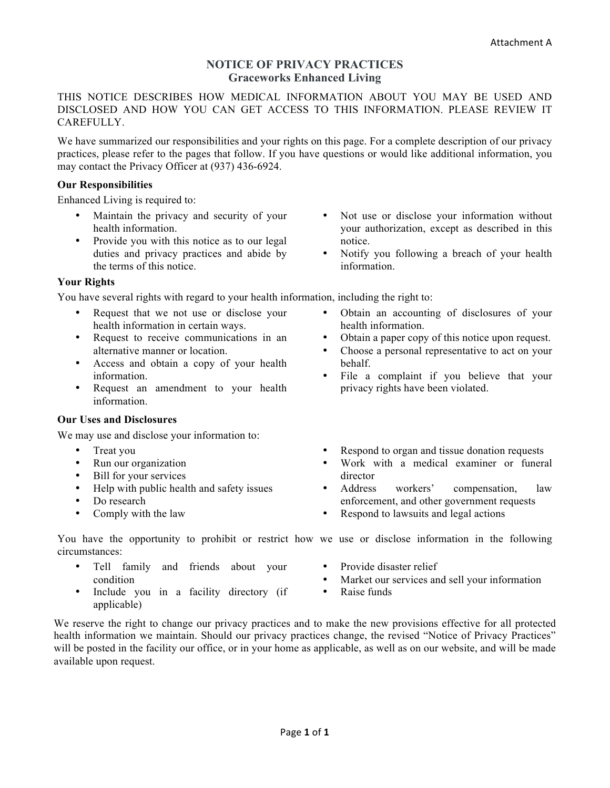# **NOTICE OF PRIVACY PRACTICES Graceworks Enhanced Living**

THIS NOTICE DESCRIBES HOW MEDICAL INFORMATION ABOUT YOU MAY BE USED AND DISCLOSED AND HOW YOU CAN GET ACCESS TO THIS INFORMATION. PLEASE REVIEW IT CAREFULLY.

We have summarized our responsibilities and your rights on this page. For a complete description of our privacy practices, please refer to the pages that follow. If you have questions or would like additional information, you may contact the Privacy Officer at (937) 436-6924.

## **Our Responsibilities**

Enhanced Living is required to:

- Maintain the privacy and security of your health information.
- Provide you with this notice as to our legal duties and privacy practices and abide by the terms of this notice.

## **Your Rights**

You have several rights with regard to your health information, including the right to:

- Request that we not use or disclose your health information in certain ways.
- Request to receive communications in an alternative manner or location.
- Access and obtain a copy of your health information.
- Request an amendment to your health information.

# **Our Uses and Disclosures**

We may use and disclose your information to:

- Treat you
- Run our organization
- Bill for your services
- Help with public health and safety issues
- Do research
- Comply with the law
- Not use or disclose your information without your authorization, except as described in this notice.
- Notify you following a breach of your health information.
- Obtain an accounting of disclosures of your health information.
- Obtain a paper copy of this notice upon request.
- Choose a personal representative to act on your behalf.
- File a complaint if you believe that your privacy rights have been violated.
- Respond to organ and tissue donation requests
- Work with a medical examiner or funeral director
- Address workers' compensation, law enforcement, and other government requests
- Respond to lawsuits and legal actions

You have the opportunity to prohibit or restrict how we use or disclose information in the following circumstances:

- Tell family and friends about your condition
- Include you in a facility directory (if applicable)
- Provide disaster relief
- Market our services and sell your information
- Raise funds

We reserve the right to change our privacy practices and to make the new provisions effective for all protected health information we maintain. Should our privacy practices change, the revised "Notice of Privacy Practices" will be posted in the facility our office, or in your home as applicable, as well as on our website, and will be made available upon request.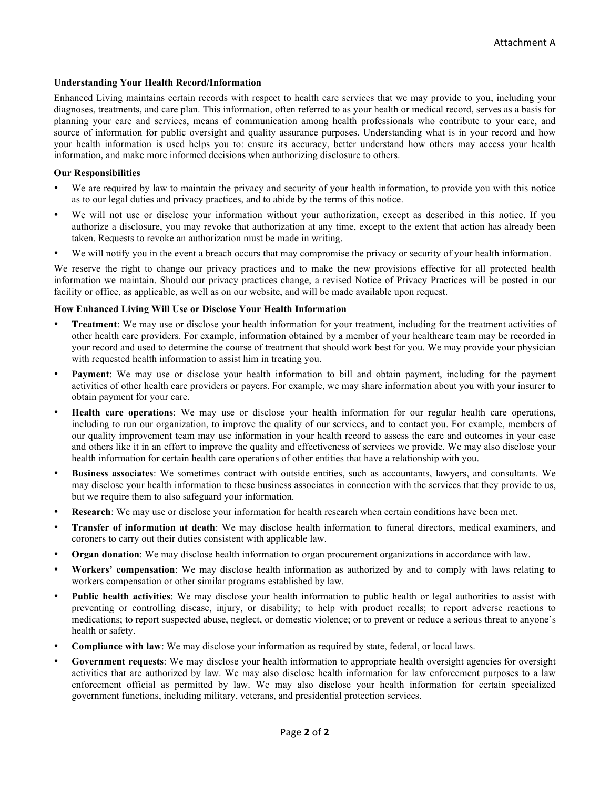### **Understanding Your Health Record/Information**

Enhanced Living maintains certain records with respect to health care services that we may provide to you, including your diagnoses, treatments, and care plan. This information, often referred to as your health or medical record, serves as a basis for planning your care and services, means of communication among health professionals who contribute to your care, and source of information for public oversight and quality assurance purposes. Understanding what is in your record and how your health information is used helps you to: ensure its accuracy, better understand how others may access your health information, and make more informed decisions when authorizing disclosure to others.

### **Our Responsibilities**

- We are required by law to maintain the privacy and security of your health information, to provide you with this notice as to our legal duties and privacy practices, and to abide by the terms of this notice.
- We will not use or disclose your information without your authorization, except as described in this notice. If you authorize a disclosure, you may revoke that authorization at any time, except to the extent that action has already been taken. Requests to revoke an authorization must be made in writing.
- We will notify you in the event a breach occurs that may compromise the privacy or security of your health information.

We reserve the right to change our privacy practices and to make the new provisions effective for all protected health information we maintain. Should our privacy practices change, a revised Notice of Privacy Practices will be posted in our facility or office, as applicable, as well as on our website, and will be made available upon request.

### **How Enhanced Living Will Use or Disclose Your Health Information**

- **Treatment**: We may use or disclose your health information for your treatment, including for the treatment activities of other health care providers. For example, information obtained by a member of your healthcare team may be recorded in your record and used to determine the course of treatment that should work best for you. We may provide your physician with requested health information to assist him in treating you.
- **Payment**: We may use or disclose your health information to bill and obtain payment, including for the payment activities of other health care providers or payers. For example, we may share information about you with your insurer to obtain payment for your care.
- **Health care operations**: We may use or disclose your health information for our regular health care operations, including to run our organization, to improve the quality of our services, and to contact you. For example, members of our quality improvement team may use information in your health record to assess the care and outcomes in your case and others like it in an effort to improve the quality and effectiveness of services we provide. We may also disclose your health information for certain health care operations of other entities that have a relationship with you.
- **Business associates**: We sometimes contract with outside entities, such as accountants, lawyers, and consultants. We may disclose your health information to these business associates in connection with the services that they provide to us, but we require them to also safeguard your information.
- **Research**: We may use or disclose your information for health research when certain conditions have been met.
- **Transfer of information at death**: We may disclose health information to funeral directors, medical examiners, and coroners to carry out their duties consistent with applicable law.
- **Organ donation**: We may disclose health information to organ procurement organizations in accordance with law.
- **Workers' compensation**: We may disclose health information as authorized by and to comply with laws relating to workers compensation or other similar programs established by law.
- **Public health activities**: We may disclose your health information to public health or legal authorities to assist with preventing or controlling disease, injury, or disability; to help with product recalls; to report adverse reactions to medications; to report suspected abuse, neglect, or domestic violence; or to prevent or reduce a serious threat to anyone's health or safety.
- **Compliance with law**: We may disclose your information as required by state, federal, or local laws.
- **Government requests**: We may disclose your health information to appropriate health oversight agencies for oversight activities that are authorized by law. We may also disclose health information for law enforcement purposes to a law enforcement official as permitted by law. We may also disclose your health information for certain specialized government functions, including military, veterans, and presidential protection services.